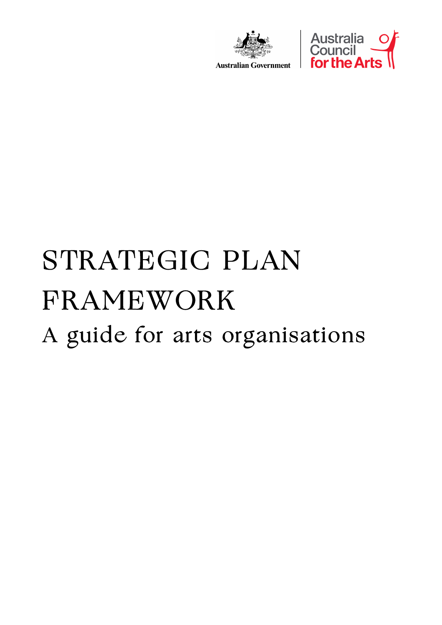



**Australian Government** 

# STRATEGIC PLAN FRAMEWORK A guide for arts organisations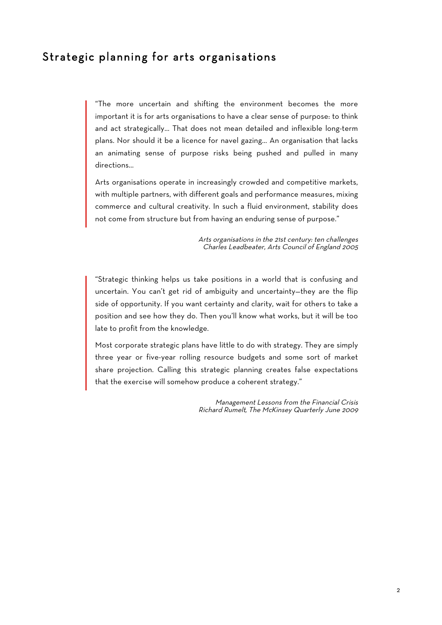# Strategic planning for arts organisations

"The more uncertain and shifting the environment becomes the more important it is for arts organisations to have a clear sense of purpose: to think and act strategically… That does not mean detailed and inflexible long-term plans. Nor should it be a licence for navel gazing… An organisation that lacks an animating sense of purpose risks being pushed and pulled in many directions…

Arts organisations operate in increasingly crowded and competitive markets, with multiple partners, with different goals and performance measures, mixing commerce and cultural creativity. In such a fluid environment, stability does not come from structure but from having an enduring sense of purpose."

> Arts organisations in the 21st century: ten challenges Charles Leadbeater, Arts Council of England 2005

"Strategic thinking helps us take positions in a world that is confusing and uncertain. You can't get rid of ambiguity and uncertainty—they are the flip side of opportunity. If you want certainty and clarity, wait for others to take a position and see how they do. Then you'll know what works, but it will be too late to profit from the knowledge.

Most corporate strategic plans have little to do with strategy. They are simply three year or five-year rolling resource budgets and some sort of market share projection. Calling this strategic planning creates false expectations that the exercise will somehow produce a coherent strategy."

> Management Lessons from the Financial Crisis Richard Rumelt, The McKinsey Quarterly June 2009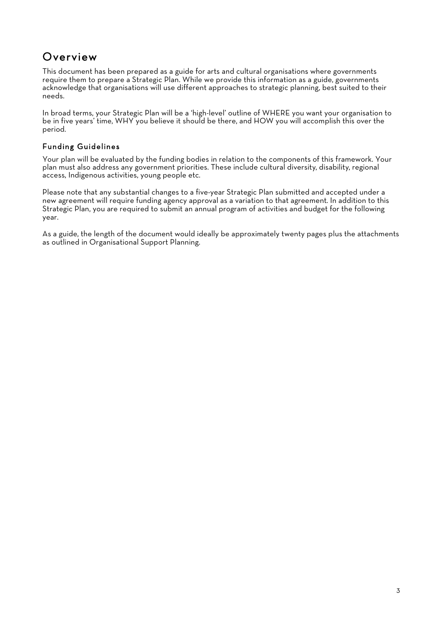# **Overview**

This document has been prepared as a guide for arts and cultural organisations where governments require them to prepare a Strategic Plan. While we provide this information as a guide, governments acknowledge that organisations will use different approaches to strategic planning, best suited to their needs.

In broad terms, your Strategic Plan will be a 'high-level' outline of WHERE you want your organisation to be in five years' time, WHY you believe it should be there, and HOW you will accomplish this over the period.

## Funding Guidelines

Your plan will be evaluated by the funding bodies in relation to the components of this framework. Your plan must also address any government priorities. These include cultural diversity, disability, regional access, Indigenous activities, young people etc.

Please note that any substantial changes to a five-year Strategic Plan submitted and accepted under a new agreement will require funding agency approval as a variation to that agreement. In addition to this Strategic Plan, you are required to submit an annual program of activities and budget for the following year.

As a guide, the length of the document would ideally be approximately twenty pages plus the attachments as outlined in Organisational Support Planning.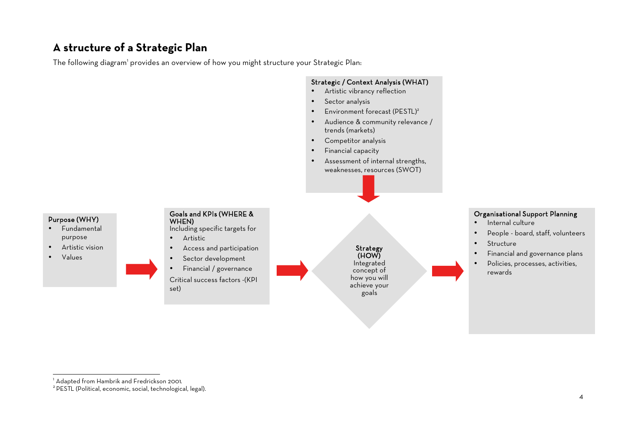# **A structure of a Strategic Plan**

The following diagram' provides an overview of how you might structure your Strategic Plan:



<sup>|&</sup>lt;br>1

<sup>&</sup>lt;sup>1</sup> Adapted from Hambrik and Fredrickson 2001.<br><sup>2</sup> PESTL (Political, economic, social, technological, legal).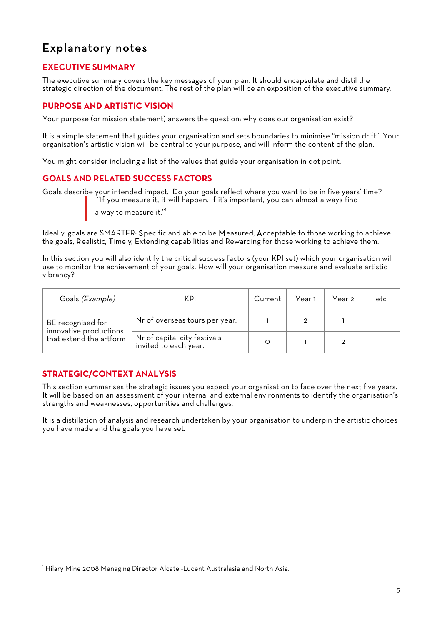# Explanatory notes

# **EXECUTIVE SUMMARY**

The executive summary covers the key messages of your plan. It should encapsulate and distil the strategic direction of the document. The rest of the plan will be an exposition of the executive summary.

# **PURPOSE AND ARTISTIC VISION**

Your purpose (or mission statement) answers the question: why does our organisation exist?

It is a simple statement that guides your organisation and sets boundaries to minimise "mission drift". Your organisation's artistic vision will be central to your purpose, and will inform the content of the plan.

You might consider including a list of the values that guide your organisation in dot point.

# **GOALS AND RELATED SUCCESS FACTORS**

Goals describe your intended impact. Do your goals reflect where you want to be in five years' time? "If you measure it, it will happen. If it's important, you can almost always find

a way to measure it."1

Ideally, goals are SMARTER: Specific and able to be Measured, Acceptable to those working to achieve the goals, Realistic, Timely, Extending capabilities and Rewarding for those working to achieve them.

In this section you will also identify the critical success factors (your KPI set) which your organisation will use to monitor the achievement of your goals. How will your organisation measure and evaluate artistic vibrancy?

| Goals (Example)                                                        | KPI                                                   | Current | Year 1 | Year 2 | etc |
|------------------------------------------------------------------------|-------------------------------------------------------|---------|--------|--------|-----|
| BE recognised for<br>innovative productions<br>that extend the artform | Nr of overseas tours per year.                        |         |        |        |     |
|                                                                        | Nr of capital city festivals<br>invited to each year. |         |        |        |     |

# **STRATEGIC/CONTEXT ANALYSIS**

This section summarises the strategic issues you expect your organisation to face over the next five years. It will be based on an assessment of your internal and external environments to identify the organisation's strengths and weaknesses, opportunities and challenges.

It is a distillation of analysis and research undertaken by your organisation to underpin the artistic choices you have made and the goals you have set.

<sup>|&</sup>lt;br>1 <sup>1</sup> Hilary Mine 2008 Managing Director Alcatel-Lucent Australasia and North Asia.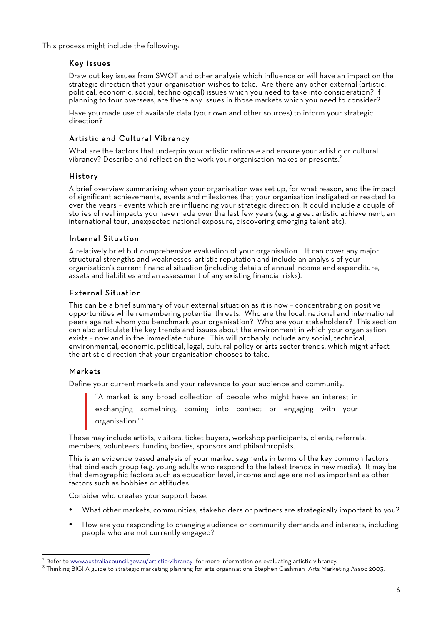This process might include the following:

#### Key issues

Draw out key issues from SWOT and other analysis which influence or will have an impact on the strategic direction that your organisation wishes to take. Are there any other external (artistic, political, economic, social, technological) issues which you need to take into consideration? If planning to tour overseas, are there any issues in those markets which you need to consider?

Have you made use of available data (your own and other sources) to inform your strategic direction?

## Artistic and Cultural Vibrancy

What are the factors that underpin your artistic rationale and ensure your artistic or cultural vibrancy? Describe and reflect on the work your organisation makes or presents.<sup>2</sup>

#### History

A brief overview summarising when your organisation was set up, for what reason, and the impact of significant achievements, events and milestones that your organisation instigated or reacted to over the years – events which are influencing your strategic direction. It could include a couple of stories of real impacts you have made over the last few years (e.g. a great artistic achievement, an international tour, unexpected national exposure, discovering emerging talent etc).

#### Internal Situation

A relatively brief but comprehensive evaluation of your organisation. It can cover any major structural strengths and weaknesses, artistic reputation and include an analysis of your organisation's current financial situation (including details of annual income and expenditure, assets and liabilities and an assessment of any existing financial risks).

#### External Situation

This can be a brief summary of your external situation as it is now – concentrating on positive opportunities while remembering potential threats. Who are the local, national and international peers against whom you benchmark your organisation? Who are your stakeholders? This section can also articulate the key trends and issues about the environment in which your organisation exists – now and in the immediate future. This will probably include any social, technical, environmental, economic, political, legal, cultural policy or arts sector trends, which might affect the artistic direction that your organisation chooses to take.

#### Markets

Define your current markets and your relevance to your audience and community.

"A market is any broad collection of people who might have an interest in

exchanging something, coming into contact or engaging with your organisation." 3

These may include artists, visitors, ticket buyers, workshop participants, clients, referrals, members, volunteers, funding bodies, sponsors and philanthropists.

This is an evidence based analysis of your market segments in terms of the key common factors that bind each group (e.g. young adults who respond to the latest trends in new media). It may be that demographic factors such as education level, income and age are not as important as other factors such as hobbies or attitudes.

Consider who creates your support base.

- What other markets, communities, stakeholders or partners are strategically important to you?
- How are you responding to changing audience or community demands and interests, including people who are not currently engaged?

<sup>&</sup>lt;sup>2</sup> Refer to www.australiacouncil.gov.au/artistic-vibrancy for more information on evaluating artistic vibrancy.<br><sup>3</sup> Thinking BIG! A guide to strategic marketing planning for arts organisations Stephen Cashman Arts Marketi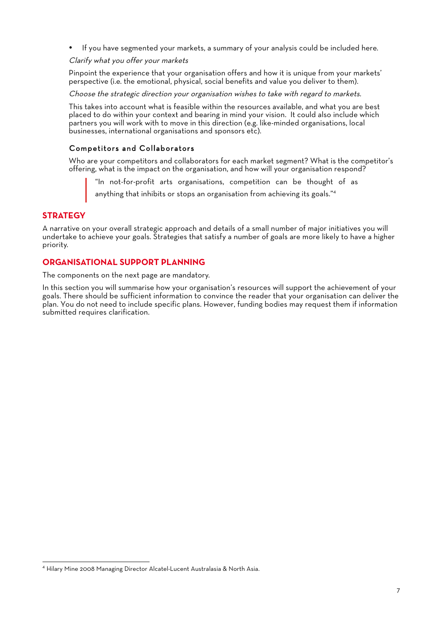• If you have segmented your markets, a summary of your analysis could be included here.

#### Clarify what you offer your markets

Pinpoint the experience that your organisation offers and how it is unique from your markets' perspective (i.e. the emotional, physical, social benefits and value you deliver to them).

Choose the strategic direction your organisation wishes to take with regard to markets.

This takes into account what is feasible within the resources available, and what you are best placed to do within your context and bearing in mind your vision. It could also include which partners you will work with to move in this direction (e.g. like-minded organisations, local businesses, international organisations and sponsors etc).

#### Competitors and Collaborators

Who are your competitors and collaborators for each market segment? What is the competitor's offering, what is the impact on the organisation, and how will your organisation respond?

"In not-for-profit arts organisations, competition can be thought of as

anything that inhibits or stops an organisation from achieving its goals."<sup>4</sup>

#### **STRATEGY**

A narrative on your overall strategic approach and details of a small number of major initiatives you will undertake to achieve your goals. Strategies that satisfy a number of goals are more likely to have a higher priority.

#### **ORGANISATIONAL SUPPORT PLANNING**

The components on the next page are mandatory.

In this section you will summarise how your organisation's resources will support the achievement of your goals. There should be sufficient information to convince the reader that your organisation can deliver the plan. You do not need to include specific plans. However, funding bodies may request them if information submitted requires clarification.

 <sup>4</sup> Hilary Mine 2008 Managing Director Alcatel-Lucent Australasia & North Asia.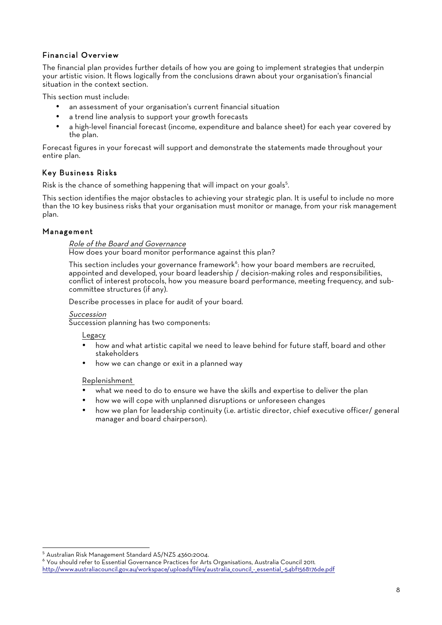# Financial Overview

The financial plan provides further details of how you are going to implement strategies that underpin your artistic vision. It flows logically from the conclusions drawn about your organisation's financial situation in the context section.

This section must include:

- an assessment of your organisation's current financial situation
- a trend line analysis to support your growth forecasts
- a high-level financial forecast (income, expenditure and balance sheet) for each year covered by the plan.

Forecast figures in your forecast will support and demonstrate the statements made throughout your entire plan.

## Key Business Risks

Risk is the chance of something happening that will impact on your goals<sup>5</sup>.

This section identifies the major obstacles to achieving your strategic plan. It is useful to include no more than the 10 key business risks that your organisation must monitor or manage, from your risk management plan.

#### Management

#### Role of the Board and Governance How does your board monitor performance against this plan?

This section includes your governance framework<sup>6</sup>: how your board members are recruited, appointed and developed, your board leadership / decision-making roles and responsibilities, conflict of interest protocols, how you measure board performance, meeting frequency, and subcommittee structures (if any).

Describe processes in place for audit of your board.

#### Succession

Succession planning has two components:

Legacy

- how and what artistic capital we need to leave behind for future staff, board and other stakeholders
- how we can change or exit in a planned way

#### Replenishment

- what we need to do to ensure we have the skills and expertise to deliver the plan
- how we will cope with unplanned disruptions or unforeseen changes
- how we plan for leadership continuity (i.e. artistic director, chief executive officer/ general manager and board chairperson).

 $^5$  Australian Risk Management Standard AS/NZS 4360:2004.<br> $^6$  You should refer to Essential Governance Practices for Arts Organisations, Australia Council 2011.

http://www.australiacouncil.gov.au/workspace/uploads/files/australia\_council\_-\_essential\_-54bf1568176de.pdf